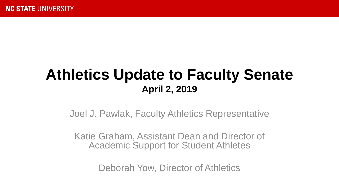#### **Athletics Update to Faculty Senate April 2, 2019**

Joel J. Pawlak, Faculty Athletics Representative

Katie Graham, Assistant Dean and Director of Academic Support for Student Athletes

Deborah Yow, Director of Athletics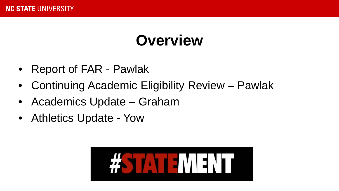### **Overview**

- Report of FAR Pawlak
- Continuing Academic Eligibility Review Pawlak
- Academics Update Graham
- Athletics Update Yow

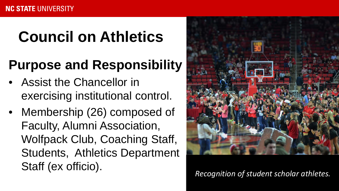## **Council on Athletics**

### **Purpose and Responsibility**

- Assist the Chancellor in exercising institutional control.
- Membership (26) composed of Faculty, Alumni Association, Wolfpack Club, Coaching Staff, Students, Athletics Department Staff (ex officio).<br>Recognition of student scholar athletes.

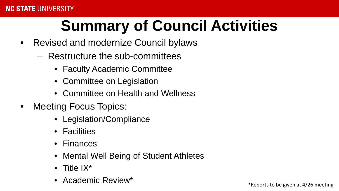# **Summary of Council Activities**

- Revised and modernize Council bylaws
	- Restructure the sub-committees
		- Faculty Academic Committee
		- Committee on Legislation
		- Committee on Health and Wellness
- Meeting Focus Topics:
	- Legislation/Compliance
	- Facilities
	- Finances
	- Mental Well Being of Student Athletes
	- Title  $IX^*$
	- Academic Review<sup>\*</sup> entertainment of the state of the state of the state of the state of the state of the state of the state of the state of the state of the state of the state of the state of the state of the state of th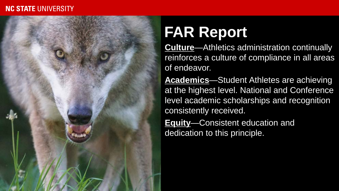#### **NC STATE UNIVERSITY**



### **FAR Report**

• **Culture**—Athletics administration continually reinforces a culture of compliance in all areas of endeavor.

• **Academics**—Student Athletes are achieving at the highest level. National and Conference level academic scholarships and recognition consistently received.

• **Equity**—Consistent education and dedication to this principle.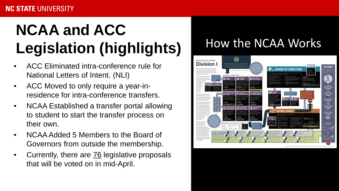# **NCAA and ACC Legislation (highlights)**

- ACC Eliminated intra-conference rule for National Letters of Intent. (NLI)
- ACC Moved to only require a year-inresidence for intra-conference transfers.
- NCAA Established a transfer portal allowing to student to start the transfer process on their own.
- NCAA Added 5 Members to the Board of Governors from outside the membership.
- Currently, there are 76 legislative proposals that will be voted on in mid-April.

#### How the NCAA Works

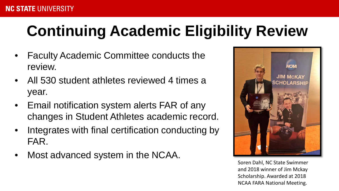# **Continuing Academic Eligibility Review**

- Faculty Academic Committee conducts the review.
- All 530 student athletes reviewed 4 times a year.
- Email notification system alerts FAR of any changes in Student Athletes academic record.
- Integrates with final certification conducting by FAR.
- Most advanced system in the NCAA.



Soren Dahl, NC State Swimmer and 2018 winner of Jim Mckay Scholarship. Awarded at 2018 NCAA FARA National Meeting.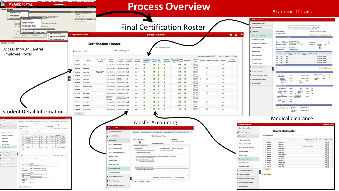#### **Process Overview**

**MYPACK PORTAL** 

**COMMUNICATE** 

| Employee Self Service<br>Student Self Service<br><b>Financial Systems</b><br><b>Human Kessu</b><br><b>Mrs. To Anterior Thursday</b><br>as House Lyan, but foot book To                                                                                                                                                                                                                                                                                                                        |                                                           |                                                                                                  |                                                                                                                                                                   |                                                                       | <b>Academic Details</b>                                                                                                                                                                                                                                        |
|-----------------------------------------------------------------------------------------------------------------------------------------------------------------------------------------------------------------------------------------------------------------------------------------------------------------------------------------------------------------------------------------------------------------------------------------------------------------------------------------------|-----------------------------------------------------------|--------------------------------------------------------------------------------------------------|-------------------------------------------------------------------------------------------------------------------------------------------------------------------|-----------------------------------------------------------------------|----------------------------------------------------------------------------------------------------------------------------------------------------------------------------------------------------------------------------------------------------------------|
| <b>Madent Schoon</b><br>Co. Faculty Nervices<br><b>Admin Services</b><br>If you're lost<br><b>Campus Comments</b><br><b>Student Administers</b><br>players but don't be payment on the For<br>722735<br><b>Records and Enrollment</b><br>Los to be in<br>an A Starting<br>Confection Management<br><b>Student Heancials</b><br>Audiok Ahbassa<br><b>NCAA Athintys Dotal</b><br><b>NCAA Athletes Compilators Data</b><br>VAILABORS<br><b>TALANE TOOL</b><br><b>NCAA Acad Info Batch Review</b> | <b>MOTOR CONTRACTOR</b><br><b>C</b> Employee Self Service |                                                                                                  | <b>Final Certification Roster</b><br><b>Student Athletes</b>                                                                                                      | $A \equiv \emptyset$                                                  | C Englapse Self Service<br><b>Student Services Center</b><br>Americ Participation<br>Review & Certification for Continuing Eligibility<br><b>Cassy Abbelt</b><br>Compliance<br>Sportis:<br>ID: 092876390<br><b>Osgress Audit</b><br><b>NCAA Academic Detai</b> |
| Athletics Queries<br>NGAA Proving for Walk Ons<br>NC STATE UNIVERSITY                                                                                                                                                                                                                                                                                                                                                                                                                         |                                                           | <b>Certification Roster</b>                                                                      |                                                                                                                                                                   |                                                                       | NCAA Compliance Data<br>Term<br>2019 Spring Term<br>2191<br>a Yurma 8<br>Plan<br><b><i>ASSIMILITIE Spot Homestrust 30</i></b><br>NGAA Preview for Walk One<br>NC State 8 . Transfer<br>$\pm 1$<br>Academic Standing<br>Coat Standing                           |
| Access through Central                                                                                                                                                                                                                                                                                                                                                                                                                                                                        | Sport: Women's Skins                                      | Term: 2019 Spring Term                                                                           | <b>Vint Certification Rosts</b>                                                                                                                                   |                                                                       | <b>Athletics Quarter</b><br><b>First Term En</b><br>3015 Fall Term<br><b>Booked Additions</b><br><b>Arademic Load</b><br><b>Working Rester</b><br><b>Term East</b>                                                                                             |
| <b>Employee Portal</b>                                                                                                                                                                                                                                                                                                                                                                                                                                                                        |                                                           |                                                                                                  |                                                                                                                                                                   |                                                                       | <b>Buildest Catalog Units</b><br>Sports Med Roste<br><b>EMA</b><br>133<br>3.00<br>In Progress, Degree                                                                                                                                                          |
|                                                                                                                                                                                                                                                                                                                                                                                                                                                                                               | <b>NCAA Status</b><br>Emplid                              | Qualifier<br>Transfer<br><b>First Term</b><br>Enrolled<br><b>Amateur</b>                         | Eligibility Seasons Of NCAA<br>Remaining Competition Forms Enrolled<br>Medically Five<br>Cleared Year<br>Academis<br>Load<br>Academic                             | Change<br>Certification<br>Certification Notes<br>Cortified           | <b>MAS</b><br>300<br>3.00<br>In Progress, Degree<br>Certification Ross<br>ser.<br>426<br>3.00<br>In Progress, Degre                                                                                                                                            |
|                                                                                                                                                                                                                                                                                                                                                                                                                                                                                               | Change<br>escalates<br><b>Shing Cook</b>                  | <b>Status</b><br><b>Status</b><br>Eigibility<br>Final Qualifier Final: Certified 1978<br>Fall 15 | Findallin<br>Ewoted<br>$\alpha$<br>2 <sup>o</sup><br>ø<br>$\sigma$                                                                                                | $\circ$<br>Yes                                                        | ier <sup>1</sup><br>486<br>3.50<br>In Progress, Degree<br>Participation Roste                                                                                                                                                                                  |
|                                                                                                                                                                                                                                                                                                                                                                                                                                                                                               | 456725595<br>Arthur, Cathy                                | Final: Certified N/B<br>Final Qualifier<br>Fall 14                                               | Full-Time<br>Enrolled<br>$\alpha$<br>$\circ$<br>$\circ$<br>Full-Time                                                                                              | $\circ$<br>Yes                                                        | Financial Aid Compliance                                                                                                                                                                                                                                       |
|                                                                                                                                                                                                                                                                                                                                                                                                                                                                                               | Added to Team<br>Jan. 5.2019                              | Final: Certified Na<br>Final Qualifier<br>Sec 199                                                | Enrolled<br>ø<br>$\circ$<br>ø<br>$\circ$<br>Fud. Time                                                                                                             | $\circ$<br>Yes                                                        | Personal Information                                                                                                                                                                                                                                           |
|                                                                                                                                                                                                                                                                                                                                                                                                                                                                                               | 1 823960127<br>Carlyford, Miner                           | Final: Certified N/B<br>Final Qualifier<br>Fall 17                                               | Enrolled<br>$\circ$<br>288<br>ø<br>Full-Time                                                                                                                      | $\circ$<br><b>Yes</b>                                                 | -Hour Rate<br>Bludent Accounts and Billin<br><b>PTD Unit</b><br>Repeat: 0.00<br>0.00                                                                                                                                                                           |
|                                                                                                                                                                                                                                                                                                                                                                                                                                                                                               | Desain, Kelly<br>882091234                                | $\circ$<br>Final Qualifier<br>Fall 14<br>Granted                                                 | Enrolled<br>$\circ$<br>$\circ$<br>300<br>$\circ$<br>ø<br>Full-Time                                                                                                | $\circ$<br>Yes.                                                       | 35.00<br><b>Melle Sn</b><br>12.00<br>18-Hour<br>** Dest Awards/Sportsorships                                                                                                                                                                                   |
|                                                                                                                                                                                                                                                                                                                                                                                                                                                                                               |                                                           | Final: Certified @<br>Final Qualifier<br>Fal: 16                                                 | Enrolled<br>200<br>$\circ$<br>ø<br>ø<br>Fuß-Time                                                                                                                  | $\circ$<br>Yes                                                        | Service Indicators                                                                                                                                                                                                                                             |
|                                                                                                                                                                                                                                                                                                                                                                                                                                                                                               | 2254526                                                   | Final Qualifier<br>Final: Certified 1978<br>Fall 14                                              | Enrolled<br>$\circ$<br>$\circ$<br>1 <sup>o</sup><br>$\circ$<br>a<br>Full-Time                                                                                     | $\circ$<br>Yes                                                        | 2.782<br>116.00<br>Cum Degres                                                                                                                                                                                                                                  |
|                                                                                                                                                                                                                                                                                                                                                                                                                                                                                               |                                                           | Foat Carthid Na<br>Final Qualifier<br>Fall 15                                                    | <b>Corolled</b><br>ø<br>$\circ$<br>ø<br>20<br>$\circ$<br>Full-Time<br>Less than                                                                                   | Ö<br>Yes.                                                             | 12.00<br>110.00<br><b>Enrolled Degree</b><br>24-Hour<br>Rufer                                                                                                                                                                                                  |
|                                                                                                                                                                                                                                                                                                                                                                                                                                                                                               | $-847112344$<br><b>Kelly, Michell</b>                     | Final Qualifier<br>Final: Certified C<br>Fat 15<br>Automati                                      | ø<br>$\circ$<br>ø<br>$300 \times$<br>Half-Time                                                                                                                    | $\circ$<br>Yes                                                        | 133.00<br>Republican<br>121.00                                                                                                                                                                                                                                 |
|                                                                                                                                                                                                                                                                                                                                                                                                                                                                                               |                                                           | Final: Certified n/a<br>Fall 18<br>Waiver:<br>Approved                                           | Enrobed<br>$\circ$ $\circ$<br>Full-Time                                                                                                                           | ö<br>Yes                                                              | <b>Total Bennetty</b><br>0.00                                                                                                                                                                                                                                  |
|                                                                                                                                                                                                                                                                                                                                                                                                                                                                                               | <b>CO 327336812</b><br><b>Hatham Allen</b>                | Final Qualifier<br>Final Certified N/a<br>Fall 17                                                | Enrolled<br>$\circ$<br>ø<br>$0$ $\sigma$ $\sigma$<br>Full-Time                                                                                                    | $\circ$<br>Yes:                                                       | fekal<br>110.00                                                                                                                                                                                                                                                |
|                                                                                                                                                                                                                                                                                                                                                                                                                                                                                               | 12 933662251<br><b>Stewart Sale</b>                       | Final Certified <i>Dia</i><br>Final Qualifier<br>Fall 15                                         | No Unit<br>30x<br>$\circ$<br>$\overline{c}$<br>a<br>Load                                                                                                          | 16<br>No                                                              | $\circ$<br><b>COOK NEW</b><br>Arademia                                                                                                                                                                                                                         |
| <b>Student Detail Information</b>                                                                                                                                                                                                                                                                                                                                                                                                                                                             | 13 444951243<br><b>Trevers, Cants</b>                     | Final Qualifier Final: Certified INa<br>Fall 17                                                  | Enrolled<br>Full-Time<br>$\circ$<br>1.000<br>ø<br>G.<br>$\circ$                                                                                                   | $\circ$<br>Yes                                                        | Status:<br>FAR Audit<br>Undetermines: #                                                                                                                                                                                                                        |
| <b>Builder Services Corter</b><br>MAKRING   WAS how those 1 Wild-localization   Wild-localization   Wild-Security   Wild-freezer com   W<br><b>Allman Parkstakle</b><br><b>NCAA Status</b>                                                                                                                                                                                                                                                                                                    | <b>Situat</b>                                             |                                                                                                  | <b>Transfer Accounting</b>                                                                                                                                        | <b>C</b> Employee Soll Service                                        | <b>Medical Clearance</b><br><b>Student Atl</b>                                                                                                                                                                                                                 |
| <b>ID SHATSMAN</b><br><b>Note: Callie Arthur</b><br>The Time II Let I bet<br><b>Starte</b><br><b>CAA Academ</b><br><b>Best</b> , Money Boys<br><b>NOW Comme</b><br><b>SCALFORNIA TH' TOAL O</b><br><b>Nor Detroites have</b><br><b>High Bay</b>                                                                                                                                                                                                                                               |                                                           | <b>Bludent Services Center</b><br>Athletic Participation                                         | ACAA Datus   ACAA Datus Overge   ACAA Huis Eligibility   ACAA Thereafer Terms   ACAA Certify Warrand Major   3<br>NCAA Transfer Terms                             | <b>Student Services Center</b><br>Athletic Participation<br>Compliano | <b>Sports Med Roster</b><br>Taim: 2019 Series Terr<br><b>Sport</b> Women's Bid                                                                                                                                                                                 |
| $\frac{1}{2\pi}$<br><b><i><u>Rupports Buts</u></i></b><br><b>Atlantice Stearing</b><br>$\sim$<br>$\sim$ $\sim$<br>100                                                                                                                                                                                                                                                                                                                                                                         |                                                           | <b>Married Washingtown</b><br>Compliance                                                         | (C) assessme                                                                                                                                                      | NCAA Academic Detail                                                  | Penerates   Find   IT!   La Print P. 1-13 at 13 P. La<br><b>Bruist</b><br><b><i>NEAA Bulus Change</i></b><br><b>Mashingty Class</b>                                                                                                                            |
| <b>Marking Planter</b><br>$\left\vert m\right\rangle =\left\vert m\right\rangle =\left\vert m\right\rangle =\left\vert m\right\rangle$<br><b>STATE</b> Property from<br><b>Sunny Your Fox</b><br>$\frac{100}{100}$ at two                                                                                                                                                                                                                                                                     |                                                           | L.<br><b>NCAA Academic Detail</b>                                                                | Sportic Week<br><b>NCAA Transfer Student:</b>                                                                                                                     | <b>NCAA Compliance Data</b>                                           | $(36 - 4)$<br>distant<br><b>Arkell, Cassin</b><br>$2$ degreeses<br>Arthur, Calley                                                                                                                                                                              |
| $\frac{4\pi\sigma}{\Delta\Delta} = 40\text{ mm}$<br><b>Curtification Rd</b>                                                                                                                                                                                                                                                                                                                                                                                                                   |                                                           | Number of Transfer Terms<br>NCAA Compliance Data<br><b>Transfer Terms:</b>                       | Original Admit Term: 2145 CL 2014 Fall Term                                                                                                                       |                                                                       | 1000000000<br>Board, Tool<br>ersenter<br><b>Adacts Text Jan LOTS</b><br>NCAA Previow for Walk One<br>Californi, Monte<br>4.42386942                                                                                                                            |
| <b>Participation Roads</b>                                                                                                                                                                                                                                                                                                                                                                                                                                                                    |                                                           | -Final Transfer States on Pile<br>NCAA Preview for Walk Ons.                                     | Full-time ferms zempleted at other instaution<br>Sem from the other institutes                                                                                    | <b>Uhietica Querie</b>                                                | Beagle, Kally<br>L MONGER<br>front, line<br>6 MAI 19974                                                                                                                                                                                                        |
| Financial Aid Compliant<br>Pos., The F. Late T. Lat.                                                                                                                                                                                                                                                                                                                                                                                                                                          |                                                           | <b>Athletics Queries</b>                                                                         |                                                                                                                                                                   | <b>Working Roster</b>                                                 | <b>Stager, Service</b><br>7. Athenplate<br>0.00000000<br><b>Inche Rome</b>                                                                                                                                                                                     |
| har link and<br>Amate kol<br><b>Basket Assuras and Bills</b>                                                                                                                                                                                                                                                                                                                                                                                                                                  |                                                           | <b>Working Roster</b>                                                                            | The FAR has revised the transfer documents in consultation with ASPSA and Compliance<br>and at parties agree the SA is slights for:<br>Photos and Competitor [11] | <b>Sports Med Roste</b>                                               | 0. servizione<br><b>Ma Rode</b><br>90 ATS234004<br>London, Link                                                                                                                                                                                                |
| <b>Digit Awards/Sports</b>                                                                                                                                                                                                                                                                                                                                                                                                                                                                    |                                                           |                                                                                                  | 02/21/18 10:27 M ASHUBBA                                                                                                                                          | Certification Roste                                                   | 11. STYLINGS<br><b><i>Pathens</i></b> Millane<br><b>Senat falu</b>                                                                                                                                                                                             |
| <b>Service Industries</b><br>[The 1] sensors inner mean on fund                                                                                                                                                                                                                                                                                                                                                                                                                               |                                                           | Sports Med Roster                                                                                | Comments (limited to 254 characters)                                                                                                                              | Participation Rosser                                                  | 12 essente<br><b>Seems, Garde</b><br>13 assemble                                                                                                                                                                                                               |
| [Tel: 2] deniario 14 highs and June Prento<br>(The T) proprie 20198 per Adm News<br><b>Contractor Burnsy</b>                                                                                                                                                                                                                                                                                                                                                                                  |                                                           | Certification Roste                                                                              |                                                                                                                                                                   | Pinancial Aid Compliance                                              | <b>Butmit</b>                                                                                                                                                                                                                                                  |
| Then $\mu$ because the contract of the state of the state of the state of the state of the state of the state of the state of the state of the state of the state of the state of the state of the state of the state of the s                                                                                                                                                                                                                                                                |                                                           | <b>Participation Roster</b>                                                                      |                                                                                                                                                                   | Personal Information                                                  | (2) Return to Search                                                                                                                                                                                                                                           |
| (lines)<br>$\Box$<br><b>WEBARA Road</b>                                                                                                                                                                                                                                                                                                                                                                                                                                                       |                                                           | Tinancial Aid Compilance<br>I                                                                    | Lest Updated: 02/21/2018 10:27:32AM<br>By: AD-USBAR                                                                                                               |                                                                       | Student Accounts and Diling                                                                                                                                                                                                                                    |
| $\Box$<br><b>Bender</b>                                                                                                                                                                                                                                                                                                                                                                                                                                                                       |                                                           | Personal Information<br>OK Canal Appy                                                            |                                                                                                                                                                   | <b>Dept Awards/Sponsorships</b>                                       |                                                                                                                                                                                                                                                                |
| <b>CK Cleve Lives</b>                                                                                                                                                                                                                                                                                                                                                                                                                                                                         |                                                           | <b>D</b> . Student Accounts and Billing                                                          |                                                                                                                                                                   | Service Indicators                                                    |                                                                                                                                                                                                                                                                |
|                                                                                                                                                                                                                                                                                                                                                                                                                                                                                               |                                                           |                                                                                                  |                                                                                                                                                                   |                                                                       |                                                                                                                                                                                                                                                                |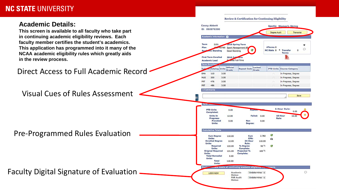#### **NC STATE UNIVERSITY**

#### **Academic Details:**

**This screen is available to all faculty who take part in continuing academic eligibility reviews. Each faculty member certifies the student's academics. This application has programmed into it many of the** 



Review & Certification for Continuing Eligibility

Sport/s: Women's Skiing

Transcript

Degree Audit

**Cassy Abbott** 

ID: 092876390

**Academic Information**